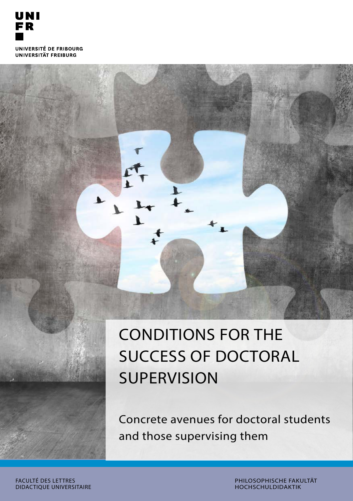

CONDITIONS FOR THE SUCCESS OF DOCTORAL **SUPERVISION** 

Concrete avenues for doctoral students and those supervising them

FACULTÉ DES LETTRES DIDACTIQUE UNIVERSITAIRE PHILOSOPHISCHE FAKULTÄT HOCHSCHULDIDAKTIK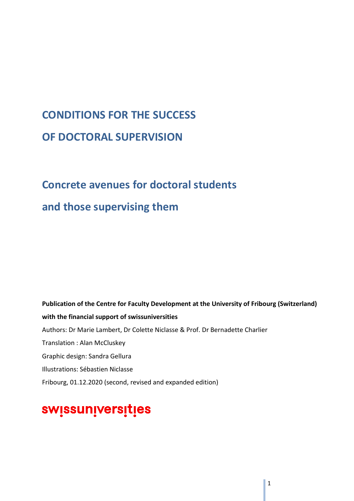# **CONDITIONS FOR THE SUCCESS OF DOCTORAL SUPERVISION**

# **Concrete avenues for doctoral students**

# **and those supervising them**

**Publication of the Centre for Faculty Development at the University of Fribourg (Switzerland) with the financial support of swissuniversities** Authors: Dr Marie Lambert, Dr Colette Niclasse & Prof. Dr Bernadette Charlier Translation : Alan McCluskey Graphic design: Sandra Gellura Illustrations: Sébastien Niclasse Fribourg, 01.12.2020 (second, revised and expanded edition)

# swissuniversities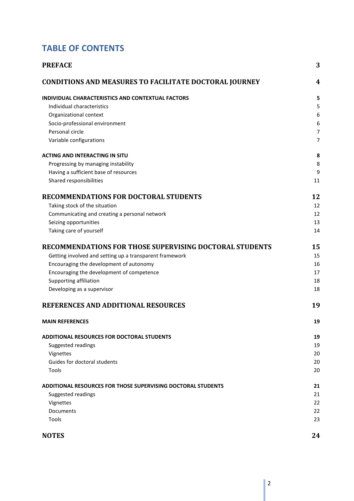# **TABLE OF CONTENTS**

| <b>PREFACE</b>                                                | 3              |
|---------------------------------------------------------------|----------------|
| <b>CONDITIONS AND MEASURES TO FACILITATE DOCTORAL JOURNEY</b> | 4              |
| INDIVIDUAL CHARACTERISTICS AND CONTEXTUAL FACTORS             | 5              |
| Individual characteristics                                    | 5              |
| Organizational context                                        | 6              |
| Socio-professional environment                                | 6              |
| Personal circle                                               | $\overline{7}$ |
| Variable configurations                                       | $\overline{7}$ |
| <b>ACTING AND INTERACTING IN SITU</b>                         | 8              |
| Progressing by managing instability                           | 8              |
| Having a sufficient base of resources                         | 9              |
| Shared responsibilities                                       | 11             |
| <b>RECOMMENDATIONS FOR DOCTORAL STUDENTS</b>                  | 12             |
| Taking stock of the situation                                 | 12             |
| Communicating and creating a personal network                 | 12             |
| Seizing opportunities                                         | 13             |
| Taking care of yourself                                       | 14             |
| RECOMMENDATIONS FOR THOSE SUPERVISING DOCTORAL STUDENTS       | 15             |
| Getting involved and setting up a transparent framework       | 15             |
| Encouraging the development of autonomy                       | 16             |
| Encouraging the development of competence                     | 17             |
| Supporting affiliation                                        | 18             |
| Developing as a supervisor                                    | 18             |
| REFERENCES AND ADDITIONAL RESOURCES                           | 19             |
| <b>MAIN REFERENCES</b>                                        | 19             |
| <b>ADDITIONAL RESOURCES FOR DOCTORAL STUDENTS</b>             | 19             |
| Suggested readings                                            | 19             |
| Vignettes                                                     | 20             |
| Guides for doctoral students                                  | 20             |
| Tools                                                         | 20             |
| ADDITIONAL RESOURCES FOR THOSE SUPERVISING DOCTORAL STUDENTS  | 21             |
| Suggested readings                                            | 21             |
| Vignettes                                                     | 22             |
| Documents                                                     | 22             |
| Tools                                                         | 23             |
| <b>NOTES</b>                                                  | 24             |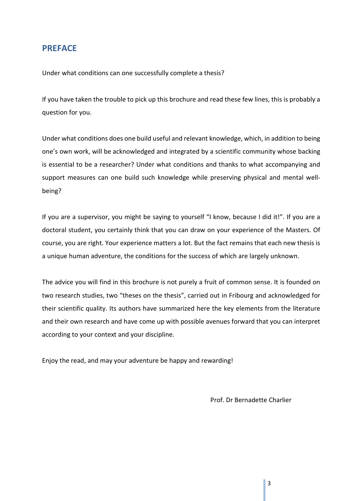## <span id="page-4-0"></span>**PREFACE**

Under what conditions can one successfully complete a thesis?

If you have taken the trouble to pick up this brochure and read these few lines, this is probably a question for you.

Under what conditions does one build useful and relevant knowledge, which, in addition to being one's own work, will be acknowledged and integrated by a scientific community whose backing is essential to be a researcher? Under what conditions and thanks to what accompanying and support measures can one build such knowledge while preserving physical and mental wellbeing?

If you are a supervisor, you might be saying to yourself "I know, because I did it!". If you are a doctoral student, you certainly think that you can draw on your experience of the Masters. Of course, you are right. Your experience matters a lot. But the fact remains that each new thesis is a unique human adventure, the conditions for the success of which are largely unknown.

The advice you will find in this brochure is not purely a fruit of common sense. It is founded on two research studies, two "theses on the thesis", carried out in Fribourg and acknowledged for their scientific quality. Its authors have summarized here the key elements from the literature and their own research and have come up with possible avenues forward that you can interpret according to your context and your discipline.

Enjoy the read, and may your adventure be happy and rewarding!

Prof. Dr Bernadette Charlier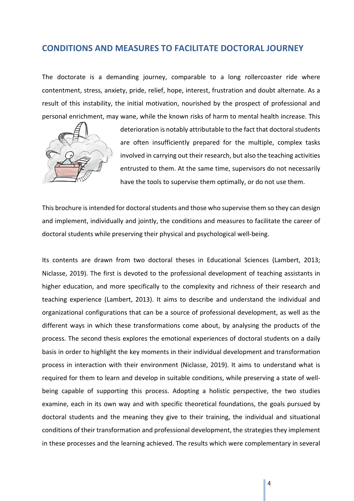## <span id="page-5-0"></span>**CONDITIONS AND MEASURES TO FACILITATE DOCTORAL JOURNEY**

The doctorate is a demanding journey, comparable to a long rollercoaster ride where contentment, stress, anxiety, pride, relief, hope, interest, frustration and doubt alternate. As a result of this instability, the initial motivation, nourished by the prospect of professional and personal enrichment, may wane, while the known risks of harm to mental health increase. This



deterioration is notably attributable to the fact that doctoral students are often insufficiently prepared for the multiple, complex tasks involved in carrying out their research, but also the teaching activities entrusted to them. At the same time, supervisors do not necessarily have the tools to supervise them optimally, or do not use them.

This brochure is intended for doctoral students and those who supervise them so they can design and implement, individually and jointly, the conditions and measures to facilitate the career of doctoral students while preserving their physical and psychological well-being.

Its contents are drawn from two doctoral theses in Educational Sciences (Lambert, 2013; Niclasse, 2019). The first is devoted to the professional development of teaching assistants in higher education, and more specifically to the complexity and richness of their research and teaching experience (Lambert, 2013). It aims to describe and understand the individual and organizational configurations that can be a source of professional development, as well as the different ways in which these transformations come about, by analysing the products of the process. The second thesis explores the emotional experiences of doctoral students on a daily basis in order to highlight the key moments in their individual development and transformation process in interaction with their environment (Niclasse, 2019). It aims to understand what is required for them to learn and develop in suitable conditions, while preserving a state of wellbeing capable of supporting this process. Adopting a holistic perspective, the two studies examine, each in its own way and with specific theoretical foundations, the goals pursued by doctoral students and the meaning they give to their training, the individual and situational conditions of their transformation and professional development, the strategies they implement in these processes and the learning achieved. The results which were complementary in several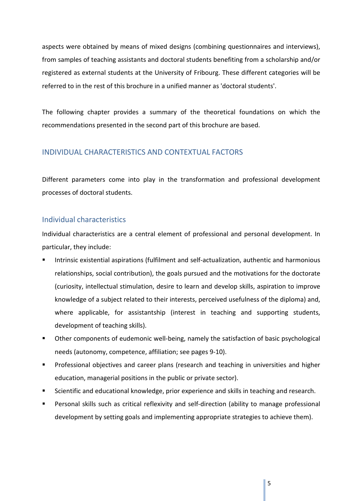aspects were obtained by means of mixed designs (combining questionnaires and interviews), from samples of teaching assistants and doctoral students benefiting from a scholarship and/or registered as external students at the University of Fribourg. These different categories will be referred to in the rest of this brochure in a unified manner as 'doctoral students'.

The following chapter provides a summary of the theoretical foundations on which the recommendations presented in the second part of this brochure are based.

#### <span id="page-6-0"></span>INDIVIDUAL CHARACTERISTICS AND CONTEXTUAL FACTORS

Different parameters come into play in the transformation and professional development processes of doctoral students.

#### <span id="page-6-1"></span>Individual characteristics

Individual characteristics are a central element of professional and personal development. In particular, they include:

- Intrinsic existential aspirations (fulfilment and self-actualization, authentic and harmonious relationships, social contribution), the goals pursued and the motivations for the doctorate (curiosity, intellectual stimulation, desire to learn and develop skills, aspiration to improve knowledge of a subject related to their interests, perceived usefulness of the diploma) and, where applicable, for assistantship (interest in teaching and supporting students, development of teaching skills).
- Other components of eudemonic well-being, namely the satisfaction of basic psychological needs (autonomy, competence, affiliation; see pages 9-10).
- **Professional objectives and career plans (research and teaching in universities and higher** education, managerial positions in the public or private sector).
- **Scientific and educational knowledge, prior experience and skills in teaching and research.**
- Personal skills such as critical reflexivity and self-direction (ability to manage professional development by setting goals and implementing appropriate strategies to achieve them).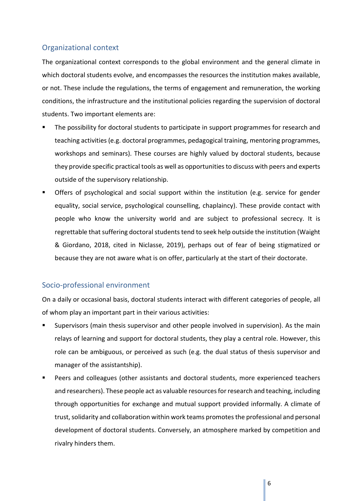## <span id="page-7-0"></span>Organizational context

The organizational context corresponds to the global environment and the general climate in which doctoral students evolve, and encompasses the resources the institution makes available, or not. These include the regulations, the terms of engagement and remuneration, the working conditions, the infrastructure and the institutional policies regarding the supervision of doctoral students. Two important elements are:

- The possibility for doctoral students to participate in support programmes for research and teaching activities (e.g. doctoral programmes, pedagogical training, mentoring programmes, workshops and seminars). These courses are highly valued by doctoral students, because they provide specific practical tools as well as opportunities to discuss with peers and experts outside of the supervisory relationship.
- Offers of psychological and social support within the institution (e.g. service for gender equality, social service, psychological counselling, chaplaincy). These provide contact with people who know the university world and are subject to professional secrecy. It is regrettable that suffering doctoral students tend to seek help outside the institution (Waight & Giordano, 2018, cited in Niclasse, 2019), perhaps out of fear of being stigmatized or because they are not aware what is on offer, particularly at the start of their doctorate.

## <span id="page-7-1"></span>Socio-professional environment

On a daily or occasional basis, doctoral students interact with different categories of people, all of whom play an important part in their various activities:

- Supervisors (main thesis supervisor and other people involved in supervision). As the main relays of learning and support for doctoral students, they play a central role. However, this role can be ambiguous, or perceived as such (e.g. the dual status of thesis supervisor and manager of the assistantship).
- Peers and colleagues (other assistants and doctoral students, more experienced teachers and researchers). These people act as valuable resources for research and teaching, including through opportunities for exchange and mutual support provided informally. A climate of trust, solidarity and collaboration within work teams promotes the professional and personal development of doctoral students. Conversely, an atmosphere marked by competition and rivalry hinders them.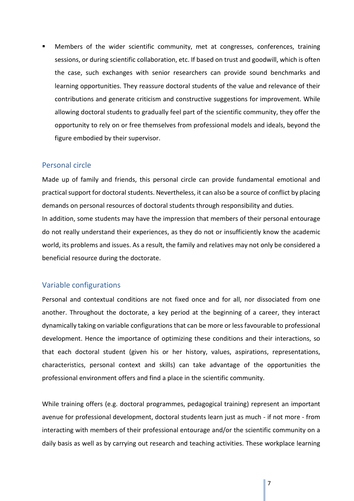Members of the wider scientific community, met at congresses, conferences, training sessions, or during scientific collaboration, etc. If based on trust and goodwill, which is often the case, such exchanges with senior researchers can provide sound benchmarks and learning opportunities. They reassure doctoral students of the value and relevance of their contributions and generate criticism and constructive suggestions for improvement. While allowing doctoral students to gradually feel part of the scientific community, they offer the opportunity to rely on or free themselves from professional models and ideals, beyond the figure embodied by their supervisor.

#### <span id="page-8-0"></span>Personal circle

Made up of family and friends, this personal circle can provide fundamental emotional and practical support for doctoral students. Nevertheless, it can also be a source of conflict by placing demands on personal resources of doctoral students through responsibility and duties.

In addition, some students may have the impression that members of their personal entourage do not really understand their experiences, as they do not or insufficiently know the academic world, its problems and issues. As a result, the family and relatives may not only be considered a beneficial resource during the doctorate.

#### <span id="page-8-1"></span>Variable configurations

Personal and contextual conditions are not fixed once and for all, nor dissociated from one another. Throughout the doctorate, a key period at the beginning of a career, they interact dynamically taking on variable configurations that can be more or less favourable to professional development. Hence the importance of optimizing these conditions and their interactions, so that each doctoral student (given his or her history, values, aspirations, representations, characteristics, personal context and skills) can take advantage of the opportunities the professional environment offers and find a place in the scientific community.

While training offers (e.g. doctoral programmes, pedagogical training) represent an important avenue for professional development, doctoral students learn just as much - if not more - from interacting with members of their professional entourage and/or the scientific community on a daily basis as well as by carrying out research and teaching activities. These workplace learning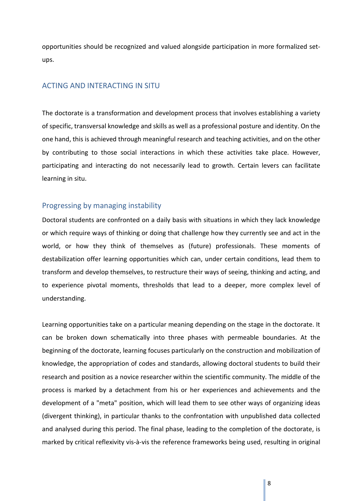opportunities should be recognized and valued alongside participation in more formalized setups.

#### <span id="page-9-0"></span>ACTING AND INTERACTING IN SITU

The doctorate is a transformation and development process that involves establishing a variety of specific, transversal knowledge and skills as well as a professional posture and identity. On the one hand, this is achieved through meaningful research and teaching activities, and on the other by contributing to those social interactions in which these activities take place. However, participating and interacting do not necessarily lead to growth. Certain levers can facilitate learning in situ.

#### <span id="page-9-1"></span>Progressing by managing instability

Doctoral students are confronted on a daily basis with situations in which they lack knowledge or which require ways of thinking or doing that challenge how they currently see and act in the world, or how they think of themselves as (future) professionals. These moments of destabilization offer learning opportunities which can, under certain conditions, lead them to transform and develop themselves, to restructure their ways of seeing, thinking and acting, and to experience pivotal moments, thresholds that lead to a deeper, more complex level of understanding.

Learning opportunities take on a particular meaning depending on the stage in the doctorate. It can be broken down schematically into three phases with permeable boundaries. At the beginning of the doctorate, learning focuses particularly on the construction and mobilization of knowledge, the appropriation of codes and standards, allowing doctoral students to build their research and position as a novice researcher within the scientific community. The middle of the process is marked by a detachment from his or her experiences and achievements and the development of a "meta" position, which will lead them to see other ways of organizing ideas (divergent thinking), in particular thanks to the confrontation with unpublished data collected and analysed during this period. The final phase, leading to the completion of the doctorate, is marked by critical reflexivity vis-à-vis the reference frameworks being used, resulting in original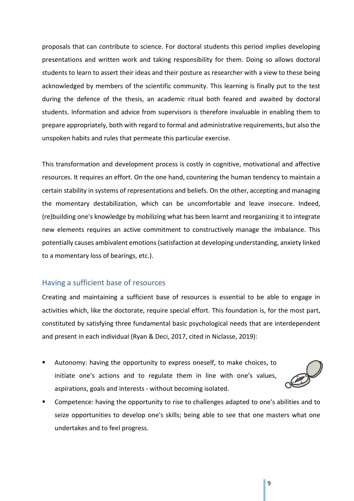proposals that can contribute to science. For doctoral students this period implies developing presentations and written work and taking responsibility for them. Doing so allows doctoral students to learn to assert their ideas and their posture as researcher with a view to these being acknowledged by members of the scientific community. This learning is finally put to the test during the defence of the thesis, an academic ritual both feared and awaited by doctoral students. Information and advice from supervisors is therefore invaluable in enabling them to prepare appropriately, both with regard to formal and administrative requirements, but also the unspoken habits and rules that permeate this particular exercise.

This transformation and development process is costly in cognitive, motivational and affective resources. It requires an effort. On the one hand, countering the human tendency to maintain a certain stability in systems of representations and beliefs. On the other, accepting and managing the momentary destabilization, which can be uncomfortable and leave insecure. Indeed, (re)building one's knowledge by mobilizing what has been learnt and reorganizing it to integrate new elements requires an active commitment to constructively manage the imbalance. This potentially causes ambivalent emotions (satisfaction at developing understanding, anxiety linked to a momentary loss of bearings, etc.).

#### <span id="page-10-0"></span>Having a sufficient base of resources

Creating and maintaining a sufficient base of resources is essential to be able to engage in activities which, like the doctorate, require special effort. This foundation is, for the most part, constituted by satisfying three fundamental basic psychological needs that are interdependent and present in each individual (Ryan & Deci, 2017, cited in Niclasse, 2019):

 Autonomy: having the opportunity to express oneself, to make choices, to initiate one's actions and to regulate them in line with one's values, aspirations, goals and interests - without becoming isolated.



 Competence: having the opportunity to rise to challenges adapted to one's abilities and to seize opportunities to develop one's skills; being able to see that one masters what one undertakes and to feel progress.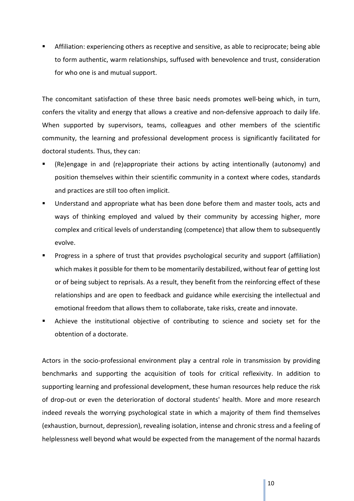Affiliation: experiencing others as receptive and sensitive, as able to reciprocate; being able to form authentic, warm relationships, suffused with benevolence and trust, consideration for who one is and mutual support.

The concomitant satisfaction of these three basic needs promotes well-being which, in turn, confers the vitality and energy that allows a creative and non-defensive approach to daily life. When supported by supervisors, teams, colleagues and other members of the scientific community, the learning and professional development process is significantly facilitated for doctoral students. Thus, they can:

- (Re)engage in and (re)appropriate their actions by acting intentionally (autonomy) and position themselves within their scientific community in a context where codes, standards and practices are still too often implicit.
- Understand and appropriate what has been done before them and master tools, acts and ways of thinking employed and valued by their community by accessing higher, more complex and critical levels of understanding (competence) that allow them to subsequently evolve.
- Progress in a sphere of trust that provides psychological security and support (affiliation) which makes it possible for them to be momentarily destabilized, without fear of getting lost or of being subject to reprisals. As a result, they benefit from the reinforcing effect of these relationships and are open to feedback and guidance while exercising the intellectual and emotional freedom that allows them to collaborate, take risks, create and innovate.
- Achieve the institutional objective of contributing to science and society set for the obtention of a doctorate.

Actors in the socio-professional environment play a central role in transmission by providing benchmarks and supporting the acquisition of tools for critical reflexivity. In addition to supporting learning and professional development, these human resources help reduce the risk of drop-out or even the deterioration of doctoral students' health. More and more research indeed reveals the worrying psychological state in which a majority of them find themselves (exhaustion, burnout, depression), revealing isolation, intense and chronic stress and a feeling of helplessness well beyond what would be expected from the management of the normal hazards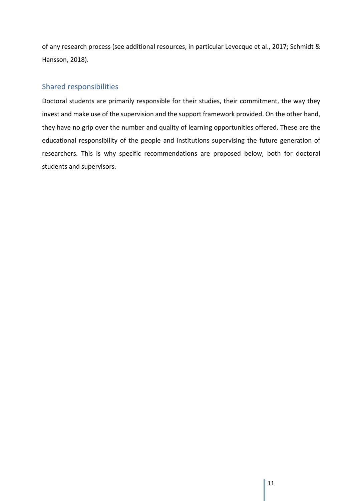of any research process (see additional resources, in particular Levecque et al., 2017; Schmidt & Hansson, 2018).

## <span id="page-12-0"></span>Shared responsibilities

Doctoral students are primarily responsible for their studies, their commitment, the way they invest and make use of the supervision and the support framework provided. On the other hand, they have no grip over the number and quality of learning opportunities offered. These are the educational responsibility of the people and institutions supervising the future generation of researchers. This is why specific recommendations are proposed below, both for doctoral students and supervisors.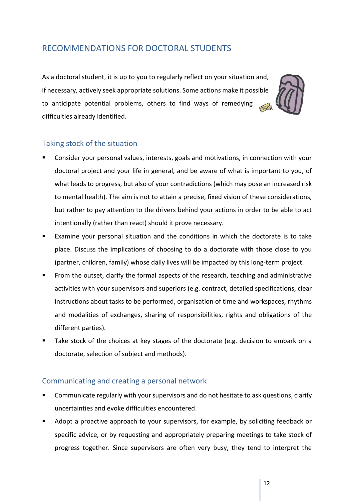# <span id="page-13-0"></span>RECOMMENDATIONS FOR DOCTORAL STUDENTS

As a doctoral student, it is up to you to regularly reflect on your situation and, if necessary, actively seek appropriate solutions. Some actions make it possible to anticipate potential problems, others to find ways of remedying difficulties already identified.



## <span id="page-13-1"></span>Taking stock of the situation

- Consider your personal values, interests, goals and motivations, in connection with your doctoral project and your life in general, and be aware of what is important to you, of what leads to progress, but also of your contradictions (which may pose an increased risk to mental health). The aim is not to attain a precise, fixed vision of these considerations, but rather to pay attention to the drivers behind your actions in order to be able to act intentionally (rather than react) should it prove necessary.
- Examine your personal situation and the conditions in which the doctorate is to take place. Discuss the implications of choosing to do a doctorate with those close to you (partner, children, family) whose daily lives will be impacted by this long-term project.
- From the outset, clarify the formal aspects of the research, teaching and administrative activities with your supervisors and superiors (e.g. contract, detailed specifications, clear instructions about tasks to be performed, organisation of time and workspaces, rhythms and modalities of exchanges, sharing of responsibilities, rights and obligations of the different parties).
- Take stock of the choices at key stages of the doctorate (e.g. decision to embark on a doctorate, selection of subject and methods).

## <span id="page-13-2"></span>Communicating and creating a personal network

- Communicate regularly with your supervisors and do not hesitate to ask questions, clarify uncertainties and evoke difficulties encountered.
- Adopt a proactive approach to your supervisors, for example, by soliciting feedback or specific advice, or by requesting and appropriately preparing meetings to take stock of progress together. Since supervisors are often very busy, they tend to interpret the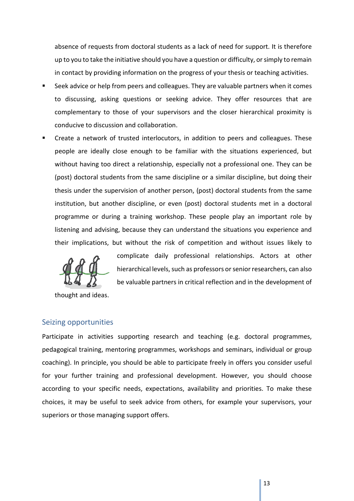absence of requests from doctoral students as a lack of need for support. It is therefore up to you to take the initiative should you have a question or difficulty, or simply to remain in contact by providing information on the progress of your thesis or teaching activities.

- Seek advice or help from peers and colleagues. They are valuable partners when it comes to discussing, asking questions or seeking advice. They offer resources that are complementary to those of your supervisors and the closer hierarchical proximity is conducive to discussion and collaboration.
- Create a network of trusted interlocutors, in addition to peers and colleagues. These people are ideally close enough to be familiar with the situations experienced, but without having too direct a relationship, especially not a professional one. They can be (post) doctoral students from the same discipline or a similar discipline, but doing their thesis under the supervision of another person, (post) doctoral students from the same institution, but another discipline, or even (post) doctoral students met in a doctoral programme or during a training workshop. These people play an important role by listening and advising, because they can understand the situations you experience and their implications, but without the risk of competition and without issues likely to



complicate daily professional relationships. Actors at other hierarchical levels, such as professors or senior researchers, can also be valuable partners in critical reflection and in the development of

thought and ideas.

#### <span id="page-14-0"></span>Seizing opportunities

Participate in activities supporting research and teaching (e.g. doctoral programmes, pedagogical training, mentoring programmes, workshops and seminars, individual or group coaching). In principle, you should be able to participate freely in offers you consider useful for your further training and professional development. However, you should choose according to your specific needs, expectations, availability and priorities. To make these choices, it may be useful to seek advice from others, for example your supervisors, your superiors or those managing support offers.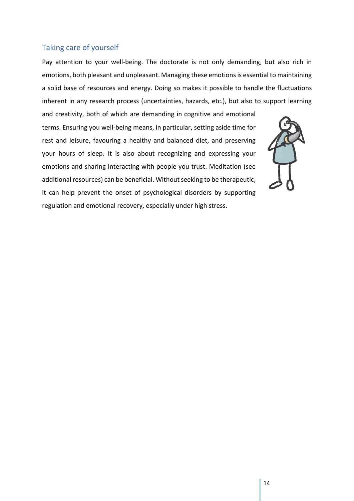#### <span id="page-15-0"></span>Taking care of yourself

Pay attention to your well-being. The doctorate is not only demanding, but also rich in emotions, both pleasant and unpleasant. Managing these emotions is essential to maintaining a solid base of resources and energy. Doing so makes it possible to handle the fluctuations inherent in any research process (uncertainties, hazards, etc.), but also to support learning

and creativity, both of which are demanding in cognitive and emotional terms. Ensuring you well-being means, in particular, setting aside time for rest and leisure, favouring a healthy and balanced diet, and preserving your hours of sleep. It is also about recognizing and expressing your emotions and sharing interacting with people you trust. Meditation (see additional resources) can be beneficial. Without seeking to be therapeutic, it can help prevent the onset of psychological disorders by supporting regulation and emotional recovery, especially under high stress.

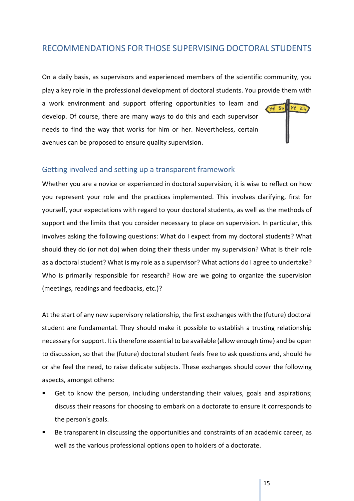## <span id="page-16-0"></span>RECOMMENDATIONS FOR THOSE SUPERVISING DOCTORAL STUDENTS

On a daily basis, as supervisors and experienced members of the scientific community, you play a key role in the professional development of doctoral students. You provide them with

a work environment and support offering opportunities to learn and develop. Of course, there are many ways to do this and each supervisor needs to find the way that works for him or her. Nevertheless, certain avenues can be proposed to ensure quality supervision.

#### <span id="page-16-1"></span>Getting involved and setting up a transparent framework

Whether you are a novice or experienced in doctoral supervision, it is wise to reflect on how you represent your role and the practices implemented. This involves clarifying, first for yourself, your expectations with regard to your doctoral students, as well as the methods of support and the limits that you consider necessary to place on supervision. In particular, this involves asking the following questions: What do I expect from my doctoral students? What should they do (or not do) when doing their thesis under my supervision? What is their role as a doctoral student? What is my role as a supervisor? What actions do I agree to undertake? Who is primarily responsible for research? How are we going to organize the supervision (meetings, readings and feedbacks, etc.)?

At the start of any new supervisory relationship, the first exchanges with the (future) doctoral student are fundamental. They should make it possible to establish a trusting relationship necessary for support. It is therefore essential to be available (allow enough time) and be open to discussion, so that the (future) doctoral student feels free to ask questions and, should he or she feel the need, to raise delicate subjects. These exchanges should cover the following aspects, amongst others:

- Get to know the person, including understanding their values, goals and aspirations; discuss their reasons for choosing to embark on a doctorate to ensure it corresponds to the person's goals.
- Be transparent in discussing the opportunities and constraints of an academic career, as well as the various professional options open to holders of a doctorate.

 $yz$  3h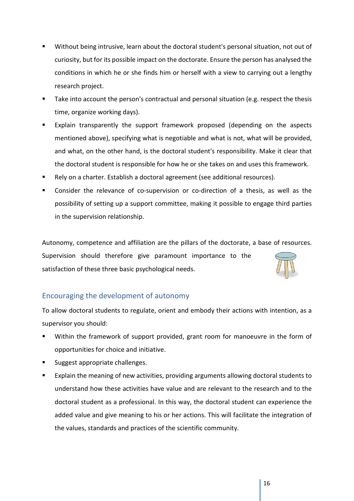- Without being intrusive, learn about the doctoral student's personal situation, not out of curiosity, but for its possible impact on the doctorate. Ensure the person has analysed the conditions in which he or she finds him or herself with a view to carrying out a lengthy research project.
- Take into account the person's contractual and personal situation (e.g. respect the thesis time, organize working days).
- Explain transparently the support framework proposed (depending on the aspects mentioned above), specifying what is negotiable and what is not, what will be provided, and what, on the other hand, is the doctoral student's responsibility. Make it clear that the doctoral student is responsible for how he or she takes on and uses this framework.
- Rely on a charter. Establish a doctoral agreement (see additional resources).
- Consider the relevance of co-supervision or co-direction of a thesis, as well as the possibility of setting up a support committee, making it possible to engage third parties in the supervision relationship.

Autonomy, competence and affiliation are the pillars of the doctorate, a base of resources.

Supervision should therefore give paramount importance to the satisfaction of these three basic psychological needs.



## <span id="page-17-0"></span>Encouraging the development of autonomy

To allow doctoral students to regulate, orient and embody their actions with intention, as a supervisor you should:

- Within the framework of support provided, grant room for manoeuvre in the form of opportunities for choice and initiative.
- Suggest appropriate challenges.
- Explain the meaning of new activities, providing arguments allowing doctoral students to understand how these activities have value and are relevant to the research and to the doctoral student as a professional. In this way, the doctoral student can experience the added value and give meaning to his or her actions. This will facilitate the integration of the values, standards and practices of the scientific community.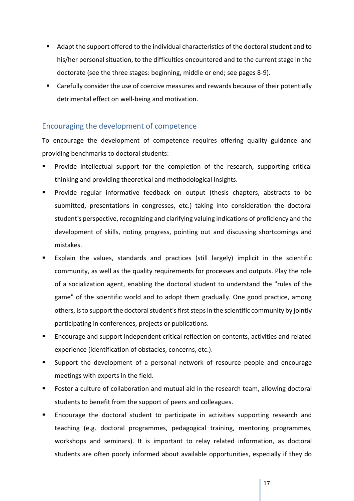- Adapt the support offered to the individual characteristics of the doctoral student and to his/her personal situation, to the difficulties encountered and to the current stage in the doctorate (see the three stages: beginning, middle or end; see pages 8-9).
- **EXT** Carefully consider the use of coercive measures and rewards because of their potentially detrimental effect on well-being and motivation.

## <span id="page-18-0"></span>Encouraging the development of competence

To encourage the development of competence requires offering quality guidance and providing benchmarks to doctoral students:

- Provide intellectual support for the completion of the research, supporting critical thinking and providing theoretical and methodological insights.
- Provide regular informative feedback on output (thesis chapters, abstracts to be submitted, presentations in congresses, etc.) taking into consideration the doctoral student's perspective, recognizing and clarifying valuing indications of proficiency and the development of skills, noting progress, pointing out and discussing shortcomings and mistakes.
- Explain the values, standards and practices (still largely) implicit in the scientific community, as well as the quality requirements for processes and outputs. Play the role of a socialization agent, enabling the doctoral student to understand the "rules of the game" of the scientific world and to adopt them gradually. One good practice, among others, is to support the doctoral student's first steps in the scientific community by jointly participating in conferences, projects or publications.
- Encourage and support independent critical reflection on contents, activities and related experience (identification of obstacles, concerns, etc.).
- Support the development of a personal network of resource people and encourage meetings with experts in the field.
- **FILM** Foster a culture of collaboration and mutual aid in the research team, allowing doctoral students to benefit from the support of peers and colleagues.
- **Encourage the doctoral student to participate in activities supporting research and** teaching (e.g. doctoral programmes, pedagogical training, mentoring programmes, workshops and seminars). It is important to relay related information, as doctoral students are often poorly informed about available opportunities, especially if they do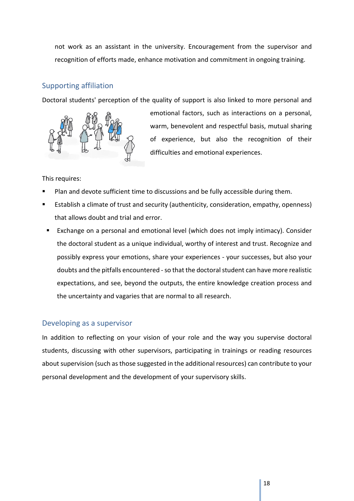not work as an assistant in the university. Encouragement from the supervisor and recognition of efforts made, enhance motivation and commitment in ongoing training.

## <span id="page-19-0"></span>Supporting affiliation

Doctoral students' perception of the quality of support is also linked to more personal and



emotional factors, such as interactions on a personal, warm, benevolent and respectful basis, mutual sharing of experience, but also the recognition of their difficulties and emotional experiences.

#### This requires:

- Plan and devote sufficient time to discussions and be fully accessible during them.
- Establish a climate of trust and security (authenticity, consideration, empathy, openness) that allows doubt and trial and error.
- Exchange on a personal and emotional level (which does not imply intimacy). Consider the doctoral student as a unique individual, worthy of interest and trust. Recognize and possibly express your emotions, share your experiences - your successes, but also your doubts and the pitfalls encountered - so that the doctoral student can have more realistic expectations, and see, beyond the outputs, the entire knowledge creation process and the uncertainty and vagaries that are normal to all research.

## <span id="page-19-1"></span>Developing as a supervisor

In addition to reflecting on your vision of your role and the way you supervise doctoral students, discussing with other supervisors, participating in trainings or reading resources about supervision (such as those suggested in the additional resources) can contribute to your personal development and the development of your supervisory skills.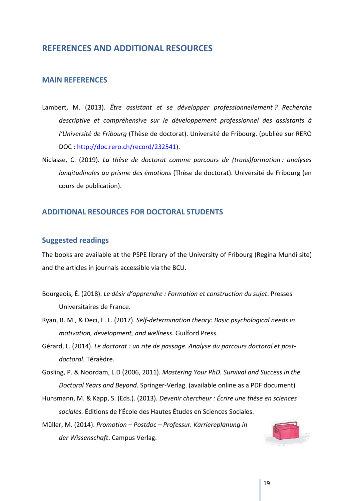## <span id="page-20-0"></span>**REFERENCES AND ADDITIONAL RESOURCES**

#### <span id="page-20-1"></span>**MAIN REFERENCES**

- Lambert, M. (2013). *Être assistant et se développer professionnellement ? Recherche descriptive et compréhensive sur le développement professionnel des assistants à l'Université de Fribourg* (Thèse de doctorat). Université de Fribourg. (publiée sur RERO DOC : [http://doc.rero.ch/record/232541\)](http://doc.rero.ch/record/232541).
- Niclasse, C. (2019). *La thèse de doctorat comme parcours de (trans)formation : analyses longitudinales au prisme des émotions* (Thèse de doctorat). Université de Fribourg (en cours de publication).

#### <span id="page-20-2"></span>**ADDITIONAL RESOURCES FOR DOCTORAL STUDENTS**

#### <span id="page-20-3"></span>**Suggested readings**

The books are available at the PSPE library of the University of Fribourg (Regina Mundi site) and the articles in journals accessible via the BCU.

- Bourgeois, É. (2018). *Le désir d'apprendre : Formation et construction du sujet*. Presses Universitaires de France.
- Ryan, R. M., & Deci, E. L. (2017). *Self-determination theory: Basic psychological needs in motivation, development, and wellness*. Guilford Press.
- Gérard, L. (2014). *Le doctorat : un rite de passage. Analyse du parcours doctoral et postdoctoral*. Téraèdre.

Gosling, P. & Noordam, L.D (2006, 2011). *Mastering Your PhD. Survival and Success in the Doctoral Years and Beyond*. Springer-Verlag. (available online as a PDF document)

Hunsmann, M. & Kapp, S. (Eds.). (2013)*. Devenir chercheur : Écrire une thèse en sciences sociales.* Éditions de l'École des Hautes Études en Sciences Sociales.

Müller, M. (2014). *Promotion – Postdoc – Professur. Karriereplanung in der Wissenschaft*. Campus Verlag.

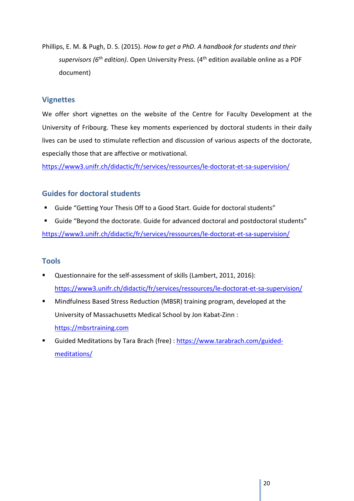Phillips, E. M. & Pugh, D. S. (2015). *How to get a PhD. A handbook for students and their supervisors (6th edition)*. Open University Press. (4th edition available online as a PDF document)

#### <span id="page-21-0"></span>**Vignettes**

We offer short vignettes on the website of the Centre for Faculty Development at the University of Fribourg. These key moments experienced by doctoral students in their daily lives can be used to stimulate reflection and discussion of various aspects of the doctorate, especially those that are affective or motivational.

<https://www3.unifr.ch/didactic/fr/services/ressources/le-doctorat-et-sa-supervision/>

## <span id="page-21-1"></span>**Guides for doctoral students**

- Guide "Getting Your Thesis Off to a Good Start. Guide for doctoral students"
- Guide "Beyond the doctorate. Guide for advanced doctoral and postdoctoral students" <https://www3.unifr.ch/didactic/fr/services/ressources/le-doctorat-et-sa-supervision/>

## <span id="page-21-2"></span>**Tools**

- Questionnaire for the self-assessment of skills (Lambert, 2011, 2016): <https://www3.unifr.ch/didactic/fr/services/ressources/le-doctorat-et-sa-supervision/>
- Mindfulness Based Stress Reduction (MBSR) training program, developed at the University of Massachusetts Medical School by Jon Kabat-Zinn : [https://mbsrtraining.com](https://mbsrtraining.com/)
- Guided Meditations by Tara Brach (free) : [https://www.tarabrach.com/guided](https://www.tarabrach.com/guided-meditations/)[meditations/](https://www.tarabrach.com/guided-meditations/)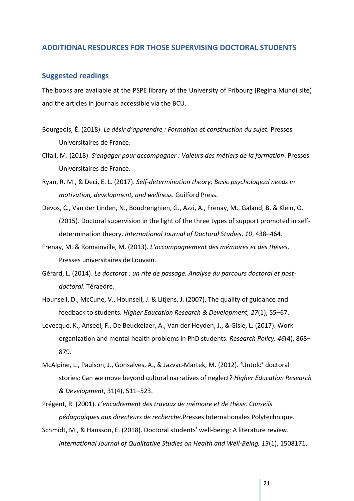#### <span id="page-22-0"></span>**ADDITIONAL RESOURCES FOR THOSE SUPERVISING DOCTORAL STUDENTS**

#### <span id="page-22-1"></span>**Suggested readings**

The books are available at the PSPE library of the University of Fribourg (Regina Mundi site) and the articles in journals accessible via the BCU.

- Bourgeois, É. (2018). *Le désir d'apprendre : Formation et construction du sujet.* Presses Universitaires de France.
- Cifali, M. (2018). *S'engager pour accompagner : Valeurs des métiers de la formation*. Presses Universitaires de France.
- Ryan, R. M., & Deci, E. L. (2017). *Self-determination theory: Basic psychological needs in motivation, development, and wellness*. Guilford Press.
- Devos, C., Van der Linden, N., Boudrenghien, G., Azzi, A., Frenay, M., Galand, B. & Klein, O. (2015). Doctoral supervision in the light of the three types of support promoted in selfdetermination theory. *International Journal of Doctoral Studies*, *10*, 438–464.
- Frenay, M. & Romainville, M. (2013). *L'accompagnement des mémoires et des thèses*. Presses universitaires de Louvain.
- Gérard, L. (2014). *Le doctorat : un rite de passage. Analyse du parcours doctoral et postdoctoral*. Téraèdre.
- Hounsell, D., McCune, V., Hounsell, J. & Litjens, J. (2007). The quality of guidance and feedback to students. *Higher Education Research & Development, 27*(1), 55–67.
- Levecque, K., Anseel, F., De Beuckelaer, A., Van der Heyden, J., & Gisle, L. (2017). Work organization and mental health problems in PhD students. *Research Policy, 46*(4), 868– 879.
- McAlpine, L., Paulson, J., Gonsalves, A., & Jazvac-Martek, M. (2012). 'Untold' doctoral stories: Can we move beyond cultural narratives of neglect? *Higher Education Research & Development*, 31(4), 511–523.
- Prégent, R. (2001). *L'encadrement des travaux de mémoire et de thèse. Conseils pédagogiques aux directeurs de recherche*.Presses Internationales Polytechnique.
- Schmidt, M., & Hansson, E. (2018). Doctoral students' well-being: A literature review. *International Journal of Qualitative Studies on Health and Well-Being, 13*(1), 1508171.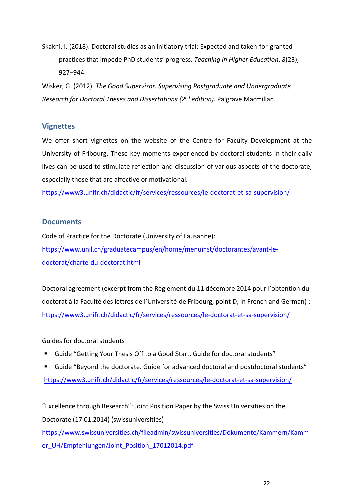Skakni, I. (2018). Doctoral studies as an initiatory trial: Expected and taken-for-granted practices that impede PhD students' progress. *Teaching in Higher Education*, *8*(23), 927–944.

Wisker, G. (2012). *The Good Supervisor. Supervising Postgraduate and Undergraduate Research for Doctoral Theses and Dissertations (2nd edition)*. Palgrave Macmillan.

## <span id="page-23-0"></span>**Vignettes**

We offer short vignettes on the website of the Centre for Faculty Development at the University of Fribourg. These key moments experienced by doctoral students in their daily lives can be used to stimulate reflection and discussion of various aspects of the doctorate, especially those that are affective or motivational.

<https://www3.unifr.ch/didactic/fr/services/ressources/le-doctorat-et-sa-supervision/>

#### <span id="page-23-1"></span>**Documents**

Code of Practice for the Doctorate (University of Lausanne): [https://www.unil.ch/graduatecampus/en/home/menuinst/doctorantes/avant-le](https://www.unil.ch/graduatecampus/en/home/menuinst/doctorantes/avant-le-doctorat/charte-du-doctorat.html)[doctorat/charte-du-doctorat.html](https://www.unil.ch/graduatecampus/en/home/menuinst/doctorantes/avant-le-doctorat/charte-du-doctorat.html)

Doctoral agreement (excerpt from the Règlement du 11 décembre 2014 pour l'obtention du doctorat à la Faculté des lettres de l'Université de Fribourg, point D, in French and German) : <https://www3.unifr.ch/didactic/fr/services/ressources/le-doctorat-et-sa-supervision/>

#### Guides for doctoral students

- Guide "Getting Your Thesis Off to a Good Start. Guide for doctoral students"
- Guide "Beyond the doctorate. Guide for advanced doctoral and postdoctoral students" <https://www3.unifr.ch/didactic/fr/services/ressources/le-doctorat-et-sa-supervision/>

"Excellence through Research": Joint Position Paper by the Swiss Universities on the Doctorate (17.01.2014) (swissuniversities)

[https://www.swissuniversities.ch/fileadmin/swissuniversities/Dokumente/Kammern/Kamm](https://www.swissuniversities.ch/fileadmin/swissuniversities/Dokumente/Kammern/Kammer_UH/Empfehlungen/Joint_Position_17012014.pdf) [er\\_UH/Empfehlungen/Joint\\_Position\\_17012014.pdf](https://www.swissuniversities.ch/fileadmin/swissuniversities/Dokumente/Kammern/Kammer_UH/Empfehlungen/Joint_Position_17012014.pdf)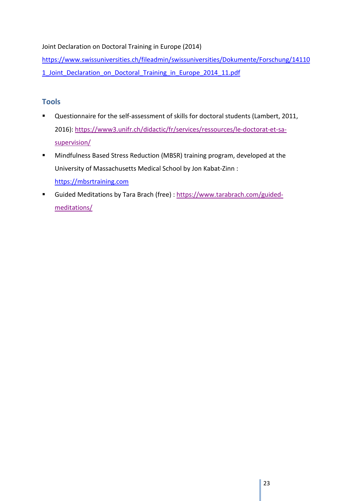Joint Declaration on Doctoral Training in Europe (2014)

[https://www.swissuniversities.ch/fileadmin/swissuniversities/Dokumente/Forschung/14110](https://www.swissuniversities.ch/fileadmin/swissuniversities/Dokumente/Forschung/141101_Joint_Declaration_on_Doctoral_Training_in_Europe_2014_11.pdf) 1 Joint Declaration on Doctoral Training in Europe 2014 11.pdf

## <span id="page-24-0"></span>**Tools**

- Questionnaire for the self-assessment of skills for doctoral students (Lambert, 2011, 2016): [https://www3.unifr.ch/didactic/fr/services/ressources/le-doctorat-et-sa](https://www3.unifr.ch/didactic/fr/services/ressources/le-doctorat-et-sa-supervision/)[supervision/](https://www3.unifr.ch/didactic/fr/services/ressources/le-doctorat-et-sa-supervision/)
- Mindfulness Based Stress Reduction (MBSR) training program, developed at the University of Massachusetts Medical School by Jon Kabat-Zinn : [https://mbsrtraining.com](https://mbsrtraining.com/)
- Guided Meditations by Tara Brach (free) : [https://www.tarabrach.com/guided](https://www.tarabrach.com/guided-meditations/)[meditations/](https://www.tarabrach.com/guided-meditations/)